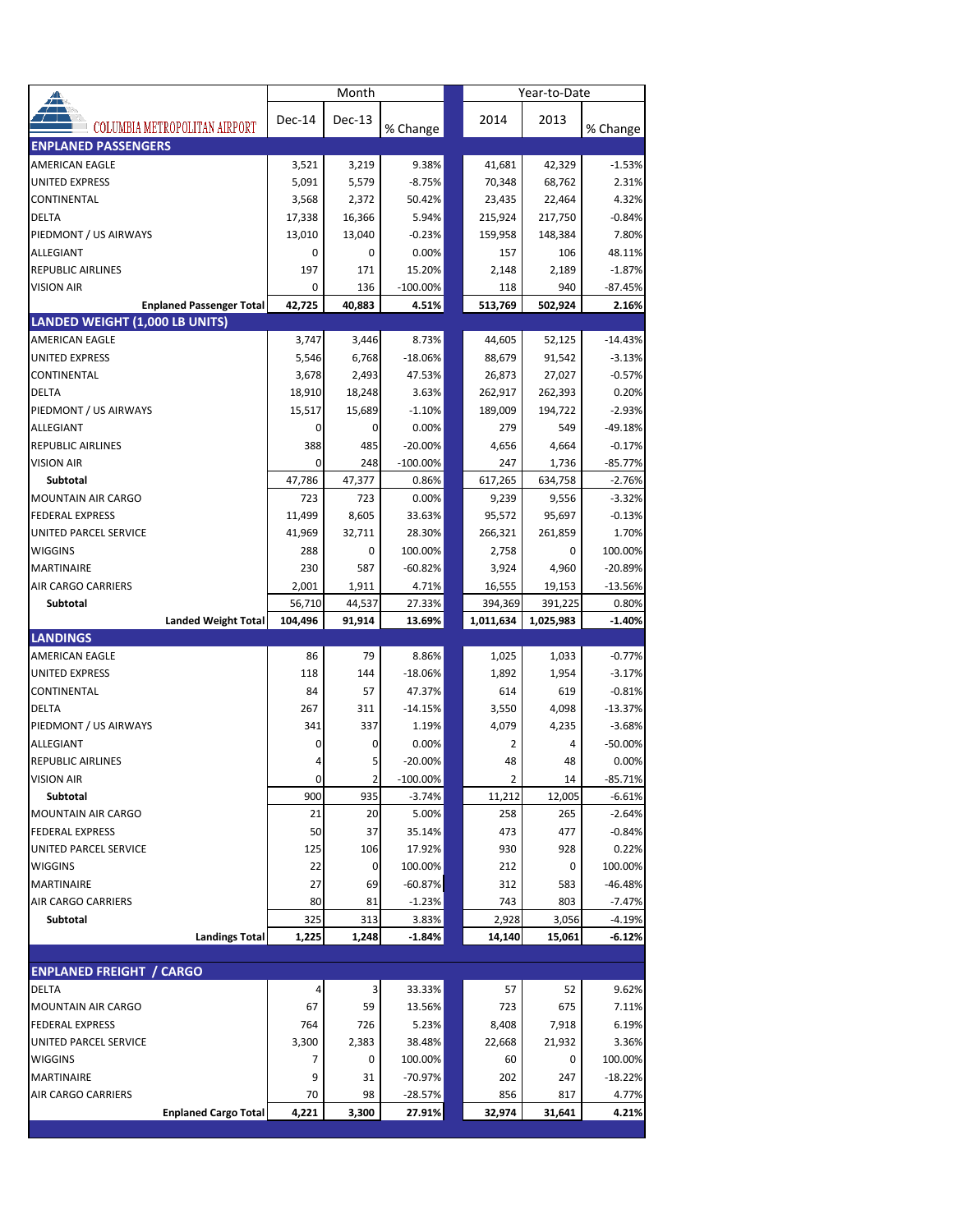| ▟                                                 |                  | Month          |                   | Year-to-Date      |               |                       |  |  |
|---------------------------------------------------|------------------|----------------|-------------------|-------------------|---------------|-----------------------|--|--|
|                                                   | Dec-14           | Dec-13         |                   | 2014              | 2013          |                       |  |  |
| COLUMBIA METROPOLITAN AIRPORT                     |                  |                | % Change          |                   |               | % Change              |  |  |
| <b>ENPLANED PASSENGERS</b>                        |                  |                |                   |                   |               |                       |  |  |
| <b>AMERICAN EAGLE</b>                             | 3,521            | 3,219          | 9.38%             | 41,681            | 42,329        | $-1.53%$              |  |  |
| <b>UNITED EXPRESS</b>                             | 5,091            | 5,579          | $-8.75%$          | 70,348            | 68,762        | 2.31%                 |  |  |
| CONTINENTAL                                       | 3,568            | 2,372          | 50.42%            | 23,435            | 22,464        | 4.32%                 |  |  |
| <b>DELTA</b>                                      | 17,338           | 16,366         | 5.94%             | 215,924           | 217,750       | $-0.84%$              |  |  |
| PIEDMONT / US AIRWAYS                             | 13,010           | 13,040         | $-0.23%$          | 159,958           | 148,384       | 7.80%                 |  |  |
| ALLEGIANT                                         | 0                | 0              | 0.00%             | 157               | 106           | 48.11%                |  |  |
| <b>REPUBLIC AIRLINES</b>                          | 197              | 171            | 15.20%            | 2,148             | 2,189         | $-1.87%$              |  |  |
| <b>VISION AIR</b>                                 | 0                | 136            | $-100.00\%$       | 118               | 940           | $-87.45%$             |  |  |
| <b>Enplaned Passenger Total</b>                   | 42,725           | 40,883         | 4.51%             | 513,769           | 502,924       | 2.16%                 |  |  |
| LANDED WEIGHT (1,000 LB UNITS)                    |                  |                |                   |                   |               |                       |  |  |
| <b>AMERICAN EAGLE</b>                             | 3,747            | 3,446          | 8.73%             | 44,605            | 52,125        | $-14.43%$             |  |  |
| <b>UNITED EXPRESS</b>                             | 5,546            | 6,768          | $-18.06%$         | 88,679            | 91,542        | $-3.13%$              |  |  |
| CONTINENTAL                                       | 3,678            | 2,493          | 47.53%            | 26,873            | 27,027        | $-0.57%$              |  |  |
| <b>DELTA</b>                                      | 18,910           | 18,248         | 3.63%             | 262,917           | 262,393       | 0.20%                 |  |  |
| PIEDMONT / US AIRWAYS                             | 15,517           | 15,689         | $-1.10%$          | 189,009           | 194,722       | $-2.93%$              |  |  |
| ALLEGIANT                                         | 0                | 0              | 0.00%             | 279               | 549           | $-49.18%$<br>$-0.17%$ |  |  |
| <b>REPUBLIC AIRLINES</b>                          | 388              | 485            | $-20.00%$         | 4,656             | 4,664         |                       |  |  |
| <b>VISION AIR</b>                                 | 0                | 248            | $-100.00\%$       | 247               | 1,736         | $-85.77%$             |  |  |
| Subtotal                                          | 47,786           | 47,377         | 0.86%<br>0.00%    | 617,265           | 634,758       | $-2.76%$              |  |  |
| MOUNTAIN AIR CARGO<br><b>FEDERAL EXPRESS</b>      | 723              | 723<br>8,605   | 33.63%            | 9,239             | 9,556         | $-3.32%$              |  |  |
| UNITED PARCEL SERVICE                             | 11,499<br>41,969 | 32,711         | 28.30%            | 95,572<br>266,321 | 95,697        | $-0.13%$<br>1.70%     |  |  |
| <b>WIGGINS</b>                                    | 288              | 0              | 100.00%           |                   | 261,859<br>0  | 100.00%               |  |  |
| <b>MARTINAIRE</b>                                 | 230              | 587            | $-60.82%$         | 2,758<br>3,924    | 4,960         | $-20.89%$             |  |  |
| AIR CARGO CARRIERS                                | 2,001            | 1,911          | 4.71%             | 16,555            | 19,153        | $-13.56%$             |  |  |
| Subtotal                                          | 56,710           | 44,537         | 27.33%            | 394,369           | 391,225       | 0.80%                 |  |  |
| <b>Landed Weight Total</b>                        | 104,496          | 91,914         | 13.69%            | 1,011,634         | 1,025,983     | $-1.40%$              |  |  |
|                                                   |                  |                |                   |                   |               |                       |  |  |
| <b>LANDINGS</b>                                   |                  |                |                   |                   |               |                       |  |  |
| <b>AMERICAN EAGLE</b>                             | 86               | 79             | 8.86%             | 1,025             | 1,033         | $-0.77%$              |  |  |
| UNITED EXPRESS                                    | 118              | 144            | $-18.06%$         | 1,892             | 1,954         | $-3.17%$              |  |  |
| CONTINENTAL                                       | 84               | 57             | 47.37%            | 614               | 619           | $-0.81%$              |  |  |
| <b>DELTA</b>                                      | 267              | 311            | $-14.15%$         | 3,550             | 4,098         | $-13.37%$             |  |  |
| PIEDMONT / US AIRWAYS                             | 341              | 337            | 1.19%             | 4,079             | 4,235         | $-3.68%$              |  |  |
| ALLEGIANT                                         | 0                | 0              | 0.00%             | 2                 | 4             | $-50.00%$             |  |  |
| <b>REPUBLIC AIRLINES</b>                          | 4                | 5              | $-20.00%$         | 48                | 48            | 0.00%                 |  |  |
| <b>VISION AIR</b>                                 | 0                | $\overline{2}$ | $-100.00\%$       | 2                 | 14            | $-85.71%$             |  |  |
| Subtotal                                          | 900              | 935            | $-3.74%$          | 11,212            | 12,005        | $-6.61%$              |  |  |
| <b>MOUNTAIN AIR CARGO</b>                         | 21               | 20             | 5.00%             | 258               | 265           | $-2.64%$              |  |  |
| <b>FEDERAL EXPRESS</b>                            | 50               | 37             | 35.14%            | 473               | 477           | $-0.84%$              |  |  |
| UNITED PARCEL SERVICE                             | 125              | 106            | 17.92%            | 930               | 928           | 0.22%                 |  |  |
| WIGGINS                                           | 22               | 0              | 100.00%           | 212               | 0             | 100.00%               |  |  |
| <b>MARTINAIRE</b>                                 | 27               | 69             | $-60.87%$         | 312               | 583           | $-46.48%$             |  |  |
| AIR CARGO CARRIERS                                | 80               | 81             | $-1.23%$          | 743               | 803           | $-7.47%$              |  |  |
| Subtotal                                          | 325              | 313            | 3.83%             | 2,928             | 3,056         | $-4.19%$              |  |  |
| <b>Landings Total</b>                             | 1,225            | 1,248          | $-1.84%$          | 14,140            | 15,061        | -6.12%                |  |  |
|                                                   |                  |                |                   |                   |               |                       |  |  |
| <b>ENPLANED FREIGHT / CARGO</b>                   |                  |                |                   |                   |               |                       |  |  |
| DELTA                                             | 4                | 3              | 33.33%            | 57                | 52            | 9.62%                 |  |  |
| MOUNTAIN AIR CARGO                                | 67               | 59             | 13.56%            | 723               | 675           | 7.11%                 |  |  |
| <b>FEDERAL EXPRESS</b>                            | 764              | 726            | 5.23%             | 8,408             | 7,918         | 6.19%                 |  |  |
| UNITED PARCEL SERVICE                             | 3,300            | 2,383          | 38.48%            | 22,668            | 21,932        | 3.36%                 |  |  |
| WIGGINS                                           | 7                | 0              | 100.00%           | 60                | 0             | 100.00%               |  |  |
| MARTINAIRE                                        | 9                | 31             | -70.97%           | 202               | 247           | $-18.22%$             |  |  |
| AIR CARGO CARRIERS<br><b>Enplaned Cargo Total</b> | 70<br>4,221      | 98<br>3,300    | -28.57%<br>27.91% | 856<br>32,974     | 817<br>31,641 | 4.77%<br>4.21%        |  |  |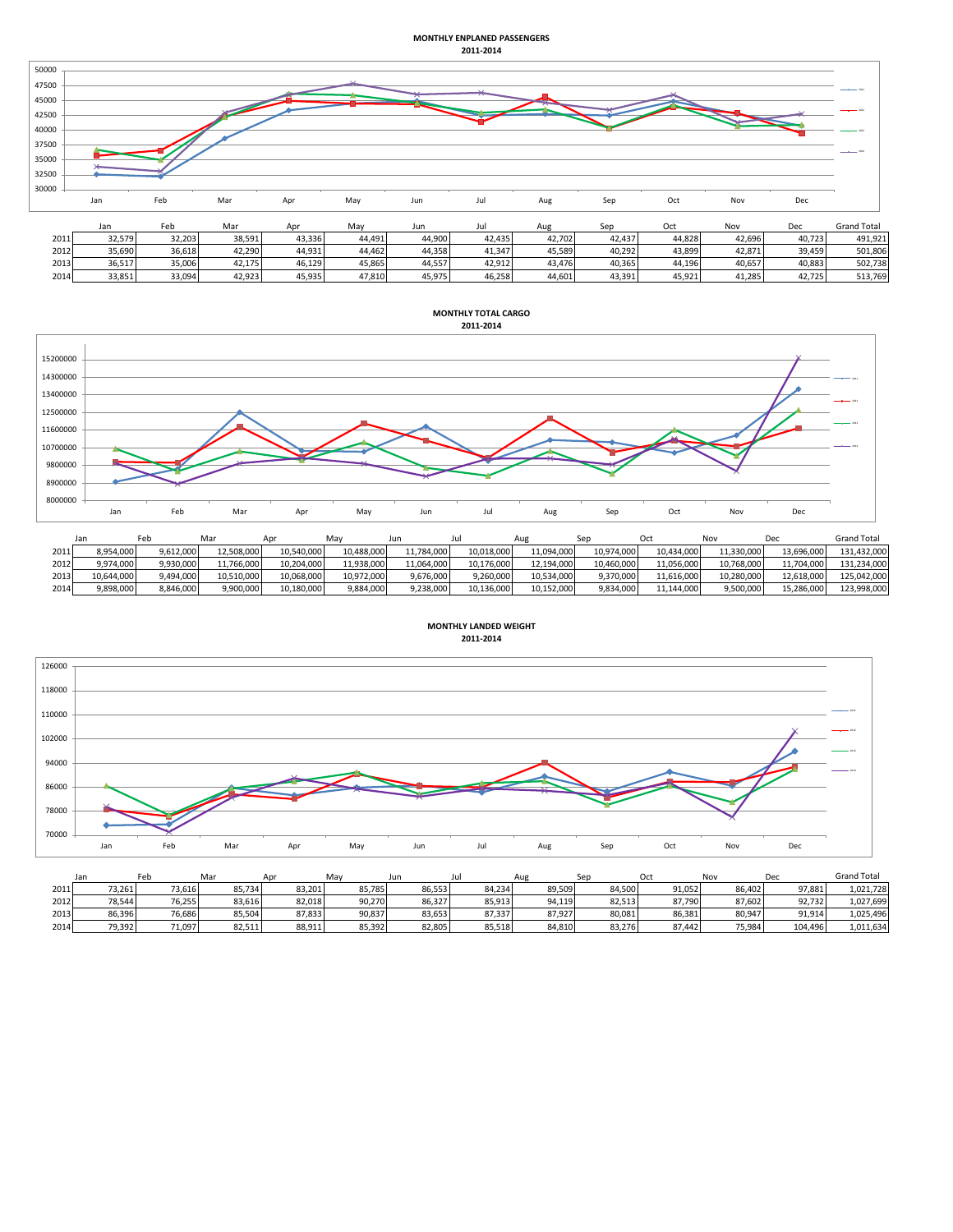## **MONTHLY ENPLANED PASSENGERS 2011-2014**



| 2011 | 32.579 | 32.203 | 38.591 | 13.336 | 44.491 | 44.900 | 42.435 | 42.702 | 42.437 | 14.828           | 42.696 | 40.723 | 491.921 |
|------|--------|--------|--------|--------|--------|--------|--------|--------|--------|------------------|--------|--------|---------|
| 2012 | 35.690 | 36.618 | 42.290 | 14.931 | 44.462 | 44,358 | 41.347 | 45.589 | 40.292 | 43.899           | 42.871 | 39.459 | 501.806 |
| 2013 | 36,517 | 35.006 | 42.175 | 46.129 | 15,865 | 44,557 | 42,912 | 43.476 | 40,365 | 11.10c<br>.4.196 | 40,657 | 40,883 | 502,738 |
| 2014 | 33,851 | 33,094 | 42,923 | 15,935 | 17,810 | 45,975 | 46,258 | 14,601 | 43,391 | 45,921           | 41,285 | 42.725 | 513,769 |



|      | Jan        | Feb       | Mar        | Apr        | May        | ur         |            | Aug        |            |            | Nον        | Dec        | <b>Grand Total</b> |
|------|------------|-----------|------------|------------|------------|------------|------------|------------|------------|------------|------------|------------|--------------------|
| 2011 | 8,954,000  | 9,612,000 | 12,508,000 | 10,540,000 | 10,488,000 | 11.784.000 | 10,018,000 | 11,094,000 | 10,974,000 | 10,434,000 | 11,330,000 | 13,696,000 | 131.432.000        |
| 2012 | 9,974,000  | 9.930.000 | 11.766.000 | 10.204.000 | 11.938.000 | 11.064.000 | 10.176.000 | 12,194,000 | 10.460.000 | 11.056.000 | 10.768.000 | 11,704,000 | 131.234.000        |
| 2013 | 10,644,000 | 9,494,000 | 10,510,000 | 10,068,000 | 10,972,000 | 9,676,000  | 9,260,000  | 10,534,000 | 9,370,000  | 11,616,000 | 10.280.000 | 12.618.000 | 125.042.000        |
| 2014 | 9,898,000  | 8,846,000 | 9,900,000  | 10,180,000 | 9,884,000  | 9.238.000  | 10,136,000 | 10,152,000 | 9,834,000  | 11,144,000 | 9,500,000  | 15,286,000 | 123,998,000        |





|      | Jan    | Feb    | Mar     | Anr    | May    | Jun    |        | Aug    | Sep    | Oct    | Nov    | Dec     | <b>Grand Total</b> |
|------|--------|--------|---------|--------|--------|--------|--------|--------|--------|--------|--------|---------|--------------------|
| 2011 | 73,261 | 73.616 | 85.734  | 83,201 | 85.785 | 86,553 | 84.234 | 89,509 | 84,500 | 91,052 | 86.402 | 97.881  | 1,021,728          |
| 2012 | 78,544 | 76.255 | 83.6161 | 82.018 | 90,270 | 86.327 | 85.913 | 94.119 | 82.513 | 87.790 | 87.602 | 92.732  | 1,027,699          |
| 2013 | 86,396 | 76,686 | 85,504  | 87,833 | 90,837 | 83,653 | 87,337 | 87,927 | 80,081 | 86,381 | 80,947 | 91,914  | 1,025,496          |
| 2014 | 79,392 | 71.097 | 82,511  | 88,911 | 85,392 | 82,805 | 85.518 | 84,810 | 83,276 | 87.442 | 75,984 | 104.496 | 1,011,634          |